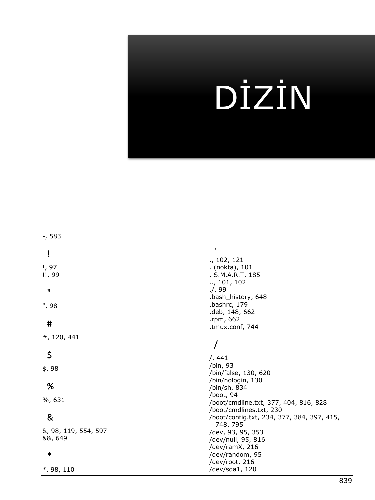# DİZİN

|                      | ., 102, 121                                |
|----------------------|--------------------------------------------|
| !, 97                | . (nokta), 101                             |
| !!, 99               | . S.M.A.R.T, 185                           |
|                      | $\ldots$ , 101, 102                        |
| $\mathbf{H}$         | . / 99                                     |
|                      | .bash_history, 648                         |
|                      | .bashrc, 179                               |
| ", 98                | .deb, 148, 662                             |
|                      | .rpm, 662                                  |
| #                    | .tmux.conf, 744                            |
|                      |                                            |
| #, 120, 441          |                                            |
|                      |                                            |
| \$                   |                                            |
|                      | 7, 441                                     |
| \$, 98               | /bin, 93                                   |
|                      | /bin/false, 130, 620                       |
| %                    | /bin/nologin, 130                          |
|                      | /bin/sh, 834                               |
| %, 631               | /boot, 94                                  |
|                      | /boot/cmdline.txt, 377, 404, 816, 828      |
|                      | /boot/cmdlines.txt, 230                    |
| &                    | /boot/config.txt, 234, 377, 384, 397, 415, |
|                      | 748, 795                                   |
| &, 98, 119, 554, 597 | /dev, 93, 95, 353                          |
| 88, 649              | /dev/null, 95, 816                         |
|                      | /dev/ramX, 216                             |
| $\ast$               | /dev/random, 95                            |
|                      | /dev/root, 216                             |
| $*$ , 98, 110        | /dev/sda1, 120                             |

-, 583

839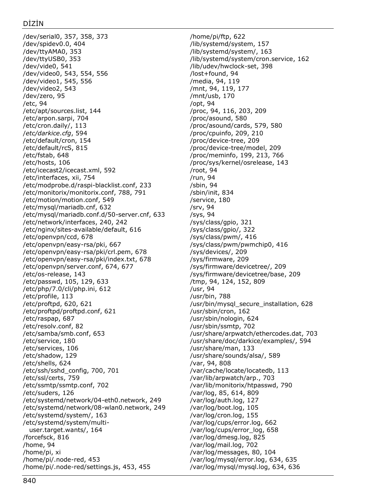/dev/serial0, 357, 358, 373 /dev/spidev0.0, 404 /dev/ttyAMA0, 353 /dev/ttyUSB0, 353 /dev/vide0, 541 /dev/video0, 543, 554, 556 /dev/video1, 545, 556 /dev/video2, 543 /dev/zero, 95 /etc, 94 /etc/apt/sources.list, 144 /etc/arpon.sarpi, 704 /etc/cron.daily/, 113 /*etc/darkice.cfg*, 594 /etc/default/cron, 154 /etc/default/rcS, 815 /etc/fstab, 648 /etc/hosts, 106 /etc/icecast2/icecast.xml, 592 /etc/interfaces, xii, 754 /etc/modprobe.d/raspi-blacklist.conf, 233 /etc/monitorix/monitorix.conf, 788, 791 /etc/motion/motion.conf, 549 /etc/mysql/mariadb.cnf, 632 /etc/mysql/mariadb.conf.d/50-server.cnf, 633 /etc/network/interfaces, 240, 242 /etc/nginx/sites-available/default, 616 /etc/openvpn/ccd, 678 /etc/openvpn/easy-rsa/pki, 667 /etc/openvpn/easy-rsa/pki/crl.pem, 678 /etc/openvpn/easy-rsa/pki/index.txt, 678 /etc/openvpn/server.conf, 674, 677 /etc/os-release, 143 /etc/passwd, 105, 129, 633 /etc/php/7.0/cli/php.ini, 612 /etc/profile, 113 /etc/proftpd, 620, 621 /etc/proftpd/proftpd.conf, 621 /etc/raspap, 687 /etc/resolv.conf, 82 /etc/samba/smb.conf, 653 /etc/service, 180 /etc/services, 106 /etc/shadow, 129 /etc/shells, 624 /etc/ssh/sshd\_config, 700, 701 /etc/ssl/certs, 759 /etc/ssmtp/ssmtp.conf, 702 /etc/suders, 126 /etc/systemd/network/04-eth0.network, 249 /etc/systemd/network/08-wlan0.network, 249 /etc/systemd/system/, 163 /etc/systemd/system/multiuser.target.wants/, 164 /forcefsck, 816 /home, 94 /home/pi, xi /home/pi/.node-red, 453 /home/pi/.node-red/settings.js, 453, 455

/home/pi/ftp, 622 /lib/systemd/system, 157 /lib/systemd/system/, 163 /lib/systemd/system/cron.service, 162 /lib/udev/hwclock-set, 398 /lost+found, 94 /media, 94, 119 /mnt, 94, 119, 177 /mnt/usb, 170 /opt, 94 /proc, 94, 116, 203, 209 /proc/asound, 580 /proc/asound/cards, 579, 580 /proc/cpuinfo, 209, 210 /proc/device-tree, 209 /proc/device-tree/model, 209 /proc/meminfo, 199, 213, 766 /proc/sys/kernel/osrelease, 143 /root, 94 /run, 94 /sbin, 94 /sbin/init, 834 /service, 180 /srv, 94 /sys, 94 /sys/class/gpio, 321 /sys/class/gpio/, 322 /sys/class/pwm/, 416 /sys/class/pwm/pwmchip0, 416 /sys/devices/, 209 /sys/firmware, 209 /sys/firmware/devicetree/, 209 /sys/firmware/devicetree/base, 209 /tmp, 94, 124, 152, 809 /usr, 94 /usr/bin, 788 /usr/bin/mysql\_secure\_installation, 628 /usr/sbin/cron, 162 /usr/sbin/nologin, 624 /usr/sbin/ssmtp, 702 /usr/share/arpwatch/ethercodes.dat, 703 /usr/share/doc/darkice/examples/, 594 /usr/share/man, 133 /usr/share/sounds/alsa/, 589 /var, 94, 808 /var/cache/locate/locatedb, 113 /var/lib/arpwatch/arp., 703 /var/lib/monitorix/htpasswd, 790 /var/log, 85, 614, 809 /var/log/auth.log, 127 /var/log/boot.log, 105 /var/log/cron.log, 155 /var/log/cups/error.log, 662 /var/log/cups/error\_log, 658 /var/log/dmesg.log, 825 /var/log/mail.log, 702 /var/log/messages, 80, 104 /var/log/mysql/error.log, 634, 635 /var/log/mysql/mysql.log, 634, 636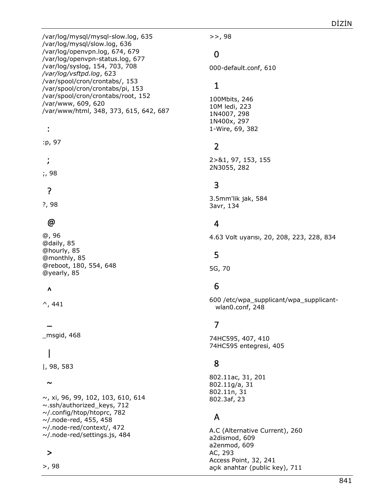/var/log/mysql/mysql-slow.log, 635 /var/log/mysql/slow.log, 636 /var/log/openvpn.log, 674, 679 /var/log/openvpn-status.log, 677 /var/log/syslog, 154, 703, 708 */var/log/vsftpd.log*, 623 /var/spool/cron/crontabs/, 153 /var/spool/cron/crontabs/pi, 153 /var/spool/cron/crontabs/root, 152 /var/www, 609, 620 /var/www/html, 348, 373, 615, 642, 687

#### :

:p, 97

;

;, 98

#### ?

?, 98

## @

@, 96 @daily, 85 @hourly, 85 @monthly, 85 @reboot, 180, 554, 648 @yearly, 85

#### $\lambda$

 $\overline{a}$ 

 $^{\wedge}$ , 441

#### \_msgid, 468

# |

|, 98, 583

#### $\sim$

~, xi, 96, 99, 102, 103, 610, 614 ~.ssh/authorized\_keys, 712 ~/.config/htop/htoprc, 782 ~/.node-red, 455, 458 ~/.node-red/context/, 472 ~/.node-red/settings.js, 484

### >

>, 98

>>, 98

## 0

000-default.conf, 610

## 1

100Mbits, 246 10M ledi, 223 1N4007, 298 1N400x, 297 1-Wire, 69, 382

## 2

2>&1, 97, 153, 155 2N3055, 282

### 3

3.5mm'lik jak, 584 3avr, 134

# 4

4.63 Volt uyarısı, 20, 208, 223, 228, 834

## 5

5G, 70

# 6

600 /etc/wpa\_supplicant/wpa\_supplicantwlan0.conf, 248

# 7

74HC595, 407, 410 74HC595 entegresi, 405

## 8

802.11ac, 31, 201 802.11g/a, 31 802.11n, 31 802.3af, 23

#### A

A.C (Alternative Current), 260 a2dismod, 609 a2enmod, 609 AC, 293 Access Point, 32, 241 açık anahtar (public key), 711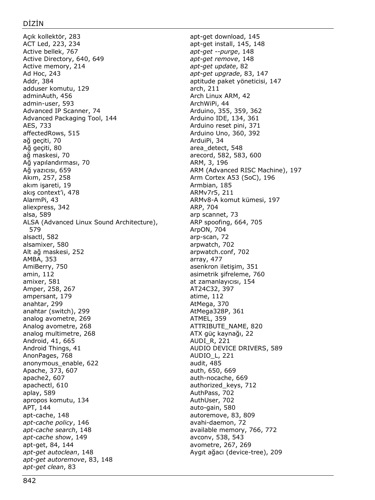Açık kollektör, 283 ACT Led, 223, 234 Active bellek, 767 Active Directory, 640, 649 Active memory, 214 Ad Hoc, 243 Addr, 384 adduser komutu, 129 adminAuth, 456 admin-user, 593 Advanced IP Scanner, 74 Advanced Packaging Tool, 144 AES, 733 affectedRows, 515 ağ geçiti, 70 Ağ geçiti, 80 ağ maskesi, 70 Ağ yapılandırması, 70 Ağ yazıcısı, 659 Akım, 257, 258 akım işareti, 19 akış context'i, 478 AlarmPi, 43 aliexpress, 342 alsa, 589 ALSA (Advanced Linux Sound Architecture), 579 alsactl, 582 alsamixer, 580 Alt ağ maskesi, 252 AMBA, 353 AmiBerry, 750 amin, 112 amixer, 581 Amper, 258, 267 ampersant, 179 anahtar, 299 anahtar (switch), 299 analog avometre, 269 Analog avometre, 268 analog multimetre, 268 Android, 41, 665 Android Things, 41 AnonPages, 768 anonymous\_enable, 622 Apache, 373, 607 apache2, 607 apachectl, 610 aplay, 589 apropos komutu, 134 APT, 144 apt-cache, 148 *apt-cache policy*, 146 *apt-cache search*, 148 *apt-cache show*, 149 apt-get, 84, 144 *apt-get autoclean*, 148 *apt-get autoremove*, 83, 148 *apt-get clean*, 83

apt-get download, 145 apt-get install, 145, 148 *apt-get --purge*, 148 *apt-get remove*, 148 *apt-get update*, 82 *apt-get upgrade*, 83, 147 aptitude paket yöneticisi, 147 arch, 211 Arch Linux ARM, 42 ArchWiPi, 44 Arduino, 355, 359, 362 Arduino IDE, 134, 361 Arduino reset pini, 371 Arduino Uno, 360, 392 ArduiPi, 34 area\_detect, 548 arecord, 582, 583, 600 ARM, 3, 196 ARM (Advanced RISC Machine), 197 Arm Cortex A53 (SoC), 196 Armbian, 185 ARMv7r5, 211 ARMv8-A komut kümesi, 197 ARP, 704 arp scannet, 73 ARP spoofing, 664, 705 ArpON, 704 arp-scan, 72 arpwatch, 702 arpwatch.conf, 702 array, 477 asenkron iletişim, 351 asimetrik şifreleme, 760 at zamanlayıcısı, 154 AT24C32, 397 atime, 112 AtMega, 370 AtMega328P, 361 ATMEL, 359 ATTRIBUTE\_NAME, 820 ATX güç kaynağı, 22 AUDI\_R, 221 AUDIO DEVICE DRIVERS, 589 AUDIO\_L, 221 audit, 485 auth, 650, 669 auth-nocache, 669 authorized\_keys, 712 AuthPass, 702 AuthUser, 702 auto-gain, 580 autoremove, 83, 809 avahi-daemon, 72 available memory, 766, 772 avconv, 538, 543 avometre, 267, 269 Aygıt ağacı (device-tree), 209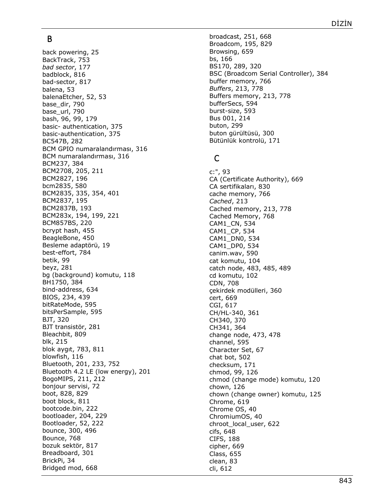#### B

back powering, 25 BackTrack, 753 *bad sector*, 177 badblock, 816 bad -sector, 817 balena, 53 balenaEtcher, 52, 53 base\_dir, 790 base\_url, 790 bash, 96, 99, 179 basic - authentication, 375 basic -authentication, 375 BC547B, 282 BCM GPIO numaralandırması, 316 BCM numaralandırması, 316 BCM237, 384 BCM2708, 205, 211 BCM2827, 196 bcm2835, 580 BCM2835, 335, 354, 401 BCM2837, 195 BCM2837B, 193 BCM283x, 194, 199, 221 BCM857BS, 220 bcrypt hash, 455 BeagleBone, 450 Besleme adaptörü, 19 best -effort, 784 betik, 99 beyz, 281 bg (background) komutu, 118 BH1750, 384 bind -address, 634 BIOS, 234, 439 bitRateMode, 595 bitsPerSample, 595 BJT, 320 BJT transistör, 281 Bleachbit, 809 blk, 215 blok aygıt, 783, 811 blowfish, 116 Bluetooth, 201, 233, 752 Bluetooth 4.2 LE (low energy), 201 BogoMIPS, 211, 212 bonjour servisi, 72 boot, 828, 829 boot block, 811 bootcode.bin, 222 bootloader, 204, 229 Bootloader, 52, 222 bounce, 300, 496 Bounce, 768 bozuk sektör, 817 Breadboard, 301 BrickPi, 34 Bridged mod, 668

broadcast, 251, 668 Broadcom, 195, 829 Browsing, 659 bs, 166 BS170, 289, 320 BSC (Broadcom Serial Controller), 384 buffer memory, 766 *Buffers*, 213, 778 Buffers memory, 213, 778 bufferSecs, 594 burst -size, 593 Bus 001, 214 buton, 299 buton gürültüsü, 300 Bütünlük kontrolü, 171

### C

c:", 93 CA (Certificate Authority), 669 CA sertifikaları, 830 cache memory, 766 *Cached*, 213 Cached memory, 213, 778 Cached Memory, 768 CAM1\_CN, 534 CAM1\_CP, 534 CAM1\_DN0, 534 CAM1\_DP0, 534 canim.wav, 590 cat komutu, 104 catch node, 483, 485, 489 cd komutu, 102 CDN, 708 çekirdek modülleri, 360 cert, 669 CGI, 617 CH/HL -340, 361 CH340, 370 CH341, 364 change node, 473, 478 channel, 595 Character Set, 67 chat bot, 502 checksum, 171 chmod, 99, 126 chmod (change mode) komutu, 120 chown, 126 chown (change owner) komutu, 125 Chrome, 619 Chrome OS, 40 ChromiumOS, 40 chroot local user, 622 cifs, 648 CIFS, 188 cipher, 669 Class, 655 clean, 83 cli, 612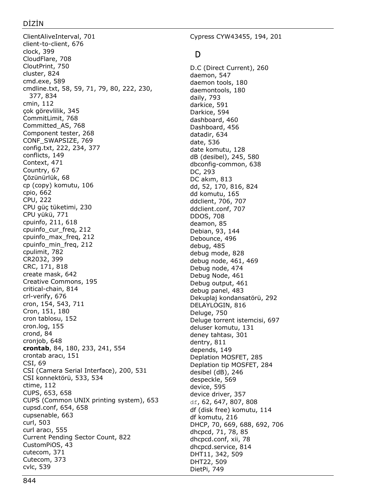#### DİZİN

ClientAliveInterval, 701 client-to-client, 676 clock, 399 CloudFlare, 708 CloutPrint, 750 cluster, 824 cmd.exe, 589 cmdline.txt, 58, 59, 71, 79, 80, 222, 230, 377, 834 cmin, 112 çok görevlilik, 345 CommitLimit, 768 Committed\_AS, 768 Component tester, 268 CONF\_SWAPSIZE, 769 config.txt, 222, 234, 377 conflicts, 149 Context, 471 Country, 67 Çözünürlük, 68 cp (copy) komutu, 106 cpio, 662 CPU, 222 CPU güç tüketimi, 230 CPU yükü, 771 cpuinfo, 211, 618 cpuinfo\_cur\_freq, 212 cpuinfo\_max\_freq, 212 cpuinfo\_min\_freq, 212 cpulimit, 782 CR2032, 399 CRC, 171, 818 create mask, 642 Creative Commons, 195 critical-chain, 814 crl-verify, 676 cron, 154, 543, 711 Cron, 151, 180 cron tablosu, 152 cron.log, 155 crond, 84 cronjob, 648 **crontab**, 84, 180, 233, 241, 554 crontab aracı, 151 CSI, 69 CSI (Camera Serial Interface), 200, 531 CSI konnektörü, 533, 534 ctime, 112 CUPS, 653, 658 CUPS (Common UNIX printing system), 653 cupsd.conf, 654, 658 cupsenable, 663 curl, 503 curl aracı, 555 Current Pending Sector Count, 822 CustomPiOS, 43 cutecom, 371 Cutecom, 373 cvlc, 539

Cypress CYW43455, 194, 201

## D

D.C (Direct Current), 260 daemon, 547 daemon tools, 180 daemontools, 180 daily, 793 darkice, 591 Darkice, 594 dashboard, 460 Dashboard, 456 datadir, 634 date, 536 date komutu, 128 dB (desibel), 245, 580 dbconfig-common, 638 DC, 293 DC akım, 813 dd, 52, 170, 816, 824 dd komutu, 165 ddclient, 706, 707 ddclient.conf, 707 DDOS, 708 deamon, 85 Debian, 93, 144 Debounce, 496 debug, 485 debug mode, 828 debug node, 461, 469 Debug node, 474 Debug Node, 461 Debug output, 461 debug panel, 483 Dekuplaj kondansatörü, 292 DELAYLOGIN, 816 Deluge, 750 Deluge torrent istemcisi, 697 deluser komutu, 131 deney tahtası, 301 dentry, 811 depends, 149 Deplation MOSFET, 285 Deplation tip MOSFET, 284 desibel (dB), 246 despeckle, 569 device, 595 device driver, 357 df, 62, 647, 807, 808 df (disk free) komutu, 114 df komutu, 216 DHCP, 70, 669, 688, 692, 706 dhcpcd, 71, 78, 85 dhcpcd.conf, xii, 78 dhcpcd.service, 814 DHT11, 342, 509 DHT22, 509 DietPi, 749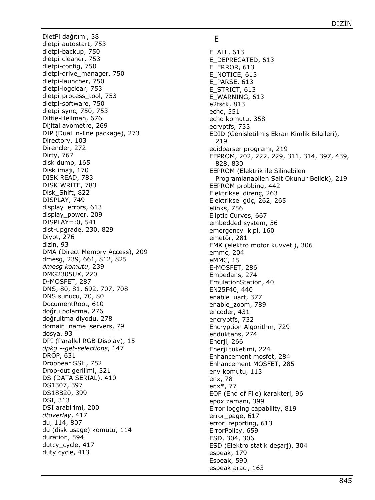DietPi dağıtımı, 38 dietpi -autostart, 753 dietpi -backup, 750 dietpi -cleaner, 753 dietpi -config, 750 dietpi -drive\_manager, 750 dietp i -launcher, 750 dietpi -logclear, 753 dietpi -process\_tool, 753 dietpi -software, 750 dietpi -sync, 750, 753 Diffie -Hellman, 676 Dijital avometre, 269 DIP (Dual in -line package), 273 Directory, 103 Dirençler, 272 Dirty, 767 disk dump, 165 Disk imajı, 170 DISK READ, 783 DISK WRITE, 783 Disk\_Shift, 822 DISPLAY, 749 display\_errors, 613 display\_power, 209 DISPLAY=:0, 541 dist -upgrade, 230, 829 Diyot, 276 dizin, 93 DMA (Direct Memory Access), 209 dmesg, 239, 661, 812, 825 *dmesg komutu*, 239 DMG2305UX, 220 D-MOSFET, 287 DNS, 80, 81, 692, 707, 708 DNS sunucu, 70, 80 DocumentRoot, 610 doğru polarma, 276 doğrultma diyodu, 278 domain\_name\_servers, 79 dosya, 93 DPI (Parallel RGB Display), 15 *dpkg --get -selections*, 147 DROP, 631 Dropbear SSH, 752 Drop -out gerilimi, 321 DS (DATA SERIAL), 410 DS1307, 397 DS18B20, 399 DSI, 313 DSI arabirimi, 200 *dtoverlay*, 417 du, 114, 807 du (disk usage) komutu, 114 duration, 594 dutcy cycle, 417 duty cycle, 413

#### E

E\_ALL, 613 E\_DEPRECATED, 613 E\_ERROR, 613 E\_NOTICE, 613 E\_PARSE, 613 E\_STRICT, 61 3 E\_WARNING, 613 e2fsck, 813 echo, 551 echo komutu, 358 ecryptfs, 733 EDID (Genişletilmiş Ekran Kimlik Bilgileri), 219 edidparser programı, 219 EEPROM, 202, 222, 229, 311, 314, 397, 439, 828, 830 EEPROM (Elektrik ile Silinebilen Programlanabilen Salt Okunur Bellek), 219 EEPROM probbing, 442 Elektriksel direnç, 263 Elektriksel güç, 262, 265 elinks, 756 Eliptic Curves, 667 embedded system, 56 emergency kipi, 160 emetör, 281 EMK (elektro motor kuvveti), 306 emmc, 204 eMMC, 15 E-MOSFET, 286 Empedans, 274 EmulationStation, 40 EN25F40, 440 enable\_uart, 377 enable\_zoom, 789 encoder, 431 encryptfs, 732 Encryption Algorithm, 729 endüktans, 274 Enerji, 266 Enerji tüketimi, 224 Enhancement mosfet, 284 Enhancement MOSFET, 285 env komutu, 113 enx, 78 enx\*, 77 EOF (End of File) karakteri, 96 epox zamanı, 399 Error logging capability, 819 error\_page, 617 error\_reporting, 613 ErrorPolicy, 659 ESD, 304, 306 ESD (Elektro statik deşarj), 304 espeak, 179 Espeak, 590 espeak aracı, 163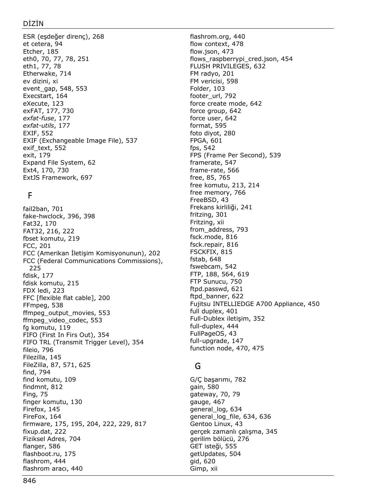ESR (eşdeğer direnç), 268 et cetera, 94 Etcher, 185 eth0, 70, 77, 78, 251 eth1, 77, 78 Etherwake, 714 ev dizini, xi event\_gap, 548, 553 Execstart, 164 eXecute, 123 exFAT, 177, 730 *exfat-fuse*, 177 *exfat-utils*, 177 EXIF, 552 EXIF (Exchangeable Image File), 537 exif\_text, 552 exit, 179 Expand File System, 62 Ext4, 170, 730 ExtJS Framework, 697

# F

fail2ban, 701 fake-hwclock, 396, 398 Fat32, 170 FAT32, 216, 222 fbset komutu, 219 FCC, 201 FCC (Amerikan İletişim Komisyonunun), 202 FCC (Federal Communications Commissions), 225 fdisk, 177 fdisk komutu, 215 FDX ledi, 223 FFC [flexible flat cable], 200 FFmpeg, 538 ffmpeg\_output\_movies, 553 ffmpeg\_video\_codec, 553 fg komutu, 119 FIFO (First In Firs Out), 354 FIFO TRL (Transmit Trigger Level), 354 fileio, 796 Filezilla, 145 FileZilla, 87, 571, 625 find, 794 find komutu, 109 findmnt, 812 Fing, 75 finger komutu, 130 Firefox, 145 FireFox, 164 firmware, 175, 195, 204, 222, 229, 817 fixup.dat, 222 Fiziksel Adres, 704 flanger, 586 flashboot.ru, 175 flashrom, 444 flashrom aracı, 440

flashrom.org, 440 flow context, 478 flow.json, 473 flows\_raspberrypi\_cred.json, 454 FLUSH PRIVILEGES, 632 FM radyo, 201 FM vericisi, 598 Folder, 103 footer\_url, 792 force create mode, 642 force group, 642 force user, 642 format, 595 foto diyot, 280 FPGA, 601 fps, 542 FPS (Frame Per Second), 539 framerate, 547 frame-rate, 566 free, 85, 765 free komutu, 213, 214 free memory, 766 FreeBSD, 43 Frekans kirliliği, 241 fritzing, 301 Fritzing, xii from\_address, 793 fsck.mode, 816 fsck.repair, 816 FSCKFIX, 815 fstab, 648 fswebcam, 542 FTP, 188, 564, 619 FTP Sunucu, 750 ftpd.passwd, 621 ftpd\_banner, 622 Fujitsu INTELLIEDGE A700 Appliance, 450 full duplex, 401 Full-Dublex iletişim, 352 full-duplex, 444 FullPageOS, 43 full-upgrade, 147 function node, 470, 475

## G

G/Ç başarımı, 782 gain, 580 gateway, 70, 79 gauge, 467 general\_log, 634 general\_log\_file, 634, 636 Gentoo Linux, 43 gerçek zamanlı çalışma, 345 gerilim bölücü, 276 GET isteği, 555 getUpdates, 504 gid, 620 Gimp, xii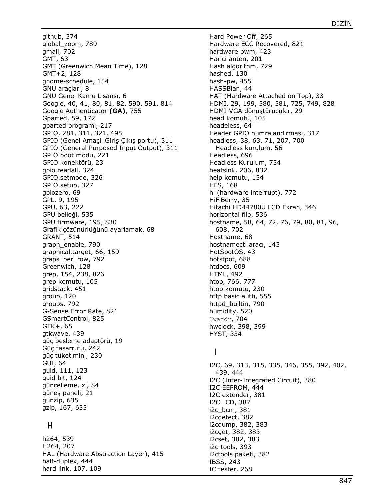github, 374 global\_zoom, 789 gmail, 702 GMT, 63 GMT (Greenwich Mean Time), 128 GMT+2, 128 gnome-schedule, 154 GNU araçları, 8 GNU Genel Kamu Lisansı, 6 Google, 40, 41, 80, 81, 82, 590, 591, 814 Google Authenticator **(GA)**, 755 Gparted, 59, 172 gparted programı, 217 GPIO, 281, 311, 321, 495 GPIO (Genel Amaçlı Giriş Çıkış portu), 311 GPIO (General Purposed Input Output), 311 GPIO boot modu, 221 GPIO konektörü, 23 gpio readall, 324 GPIO.setmode, 326 GPIO.setup, 327 gpiozero, 69 GPL, 9, 195 GPU, 63, 222 GPU belleği, 535 GPU firmware, 195, 830 Grafik çözünürlüğünü ayarlamak, 68 GRANT, 514 graph\_enable, 790 graphical.target, 66, 159 graps\_per\_row, 792 Greenwich, 128 grep, 154, 238, 826 grep komutu, 105 gridstack, 451 group, 120 groups, 792 G-Sense Error Rate, 821 GSmartControl, 825 GTK+, 65 gtkwave, 439 güç besleme adaptörü, 19 Güç tasarrufu, 242 güç tüketimini, 230 GUI, 64 guid, 111, 123 guid bit, 124 güncelleme, xi, 84 güneş paneli, 21 gunzip, 635 gzip, 167, 635

## H

h264, 539 H264, 207 HAL (Hardware Abstraction Layer), 415 half-duplex, 444 hard link, 107, 109

Hard Power Off, 265 Hardware ECC Recovered, 821 hardware pwm, 423 Harici anten, 201 Hash algorithm, 729 hashed, 130 hash-pw, 455 HASSBian, 44 HAT (Hardware Attached on Top), 33 HDMI, 29, 199, 580, 581, 725, 749, 828 HDMI-VGA dönüştürücüler, 29 head komutu, 105 headeless, 64 Header GPIO numralandırması, 317 headless, 38, 63, 71, 207, 700 Headless kurulum, 56 Headless, 696 Headless Kurulum, 754 heatsink, 206, 832 help komutu, 134 HFS, 168 hi (hardware interrupt), 772 HiFiBerry, 35 Hitachi HD44780U LCD Ekran, 346 horizontal flip, 536 hostname, 58, 64, 72, 76, 79, 80, 81, 96, 608, 702 Hostname, 68 hostnamectl aracı, 143 HotSpotOS, 43 hotstpot, 688 htdocs, 609 HTML, 492 htop, 766, 777 htop komutu, 230 http basic auth, 555 httpd\_builtin, 790 humidity, 520 Hwaddr, 704 hwclock, 398, 399 HYST, 334

## I

I2C, 69, 313, 315, 335, 346, 355, 392, 402, 439, 444 I2C (Inter-Integrated Circuit), 380 I2C EEPROM, 444 I2C extender, 381 I2C LCD, 387 i2c\_bcm, 381 i2cdetect, 382 i2cdump, 382, 383 i2cget, 382, 383 i2cset, 382, 383 i2c-tools, 393 i2ctools paketi, 382 IBSS, 243 IC tester, 268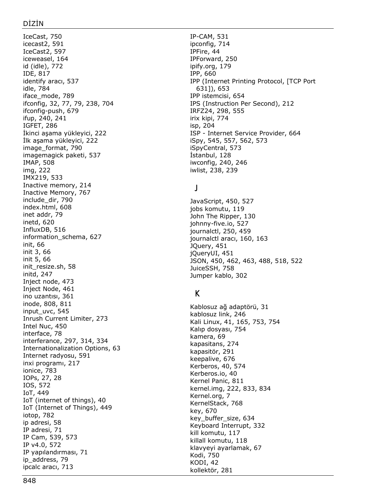IceCast, 750 icecast2, 591 IceCast2, 597 iceweasel, 164 id (idle), 772 IDE, 817 identify aracı, 537 idle, 784 iface\_mode, 789 ifconfig, 32, 77, 79, 238, 704 ifconfig -push, 679 ifup, 240, 241 IGFET, 286 İkinci aşama yükleyici, 222 İlk aşama yükleyici, 222 image\_format, 790 imagemagick paketi, 537 IMAP, 508 img, 222 IMX219, 533 Inactive memory, 214 Inactive Memory, 767 include\_dir, 790 index.html, 608 inet addr, 79 inetd, 620 InfluxDB, 516 information\_schema, 627 init, 66 init 3, 66 init 5, 66 init\_resize.sh, 58 initd, 247 Inject node, 473 Inject Node, 461 ino uzantısı, 361 inode, 808, 811 input\_uvc, 545 Inrush Current Limiter, 273 Intel Nuc, 450 interface, 78 interferance, 297, 314, 334 Internationalization Options, 63 Internet radyosu, 591 inxi programı, 217 ionice, 783 IOPs, 27, 28 IOS, 572 IoT, 449 IoT (internet of things), 40 IoT (Internet of Things), 449 iotop, 782 ip adresi, 58 IP adresi, 71 IP Cam, 539, 573 IP v4.0, 572 IP yapılandırması, 71 ip\_address, 79 ipcalc aracı, 713

IP -CAM, 531 ipconfig, 714 IPFire, 44 IPForward, 250 ipify.org, 179 IPP, 660 IPP (Internet Printing Protocol, [TCP Port 631]), 653 IPP istemcisi, 654 IPS (Instruction Per Second), 212 IRFZ24, 298, 555 irix kipi, 774 isp, 204 ISP - Internet Service Provider, 664 iSpy, 545, 557, 562, 573 iSpyCentral, 573 İstanbul, 128 iwconfig, 240, 246 iwlist, 238, 239

### J

JavaScript, 450, 527 jobs komutu, 119 John The Ripper, 130 johnny -five.io, 527 journalctl, 250, 459 journalctl aracı, 160, 163 JQuery, 451 jQueryUI, 451 JSON, 450, 462, 463, 488, 518, 522 JuiceSSH, 758 Jumper kablo, 302

### K

Kablosuz ağ adaptörü, 31 kablosuz link, 246 Kali Linux, 41, 165, 753, 754 Kalıp dosyası, 754 kamera, 69 kapasitans, 274 kapasitör, 291 keepalive, 676 Kerberos, 40, 574 Kerberos.io, 40 Kernel Panic, 811 kernel.img, 222, 833, 834 Kernel.org, 7 KernelStack, 768 key, 670 key\_buffer\_size, 634 Keyboard Interrupt, 332 kill komutu, 117 killall komutu, 118 klavyeyi ayarlamak, 67 Kodi, 750 KODI, 42 kollektör, 281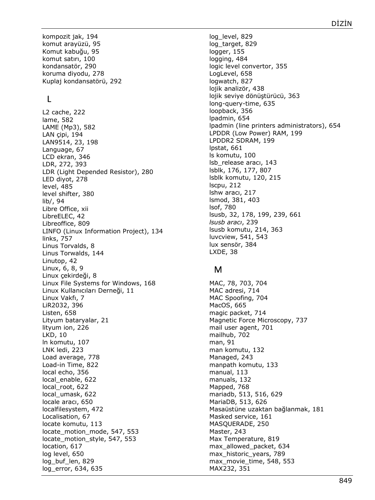kompozit jak, 194 komut arayüzü, 95 Komut kabuğu, 95 komut satırı, 100 kondansatör, 290 koruma diyodu, 278 Kuplaj kondansatörü, 292

## L

L2 cache, 222 lame, 582 LAME (Mp3), 582 LAN çipi, 194 LAN9514, 23, 198 Language, 67 LCD ekran, 346 LDR, 272, 393 LDR (Light Depended Resistor), 280 LED diyot, 278 level, 485 level shifter, 380 lib/, 94 Libre Office, xii LibreELEC, 42 Libreoffice, 809 LINFO (Linux Information Project), 134 links, 757 Linus Torvalds, 8 Linus Torwalds, 144 Linutop, 42 Linux, 6, 8, 9 Linux çekirdeği, 8 Linux File Systems for Windows, 168 Linux Kullanıcıları Derneği, 11 Linux Vakfı, 7 LiR2032, 396 Listen, 658 Lityum bataryalar, 21 lityum ion, 226 LKD, 10 ln komutu, 107 LNK ledi, 223 Load average, 778 Load-in Time, 822 local echo, 356 local enable, 622 local\_root, 622 local\_umask, 622 locale aracı, 650 localfilesystem, 472 Localisation, 67 locate komutu, 113 locate motion mode, 547, 553 locate\_motion\_style, 547, 553 location, 617 log level, 650 log\_buf\_len, 829 log\_error, 634, 635

log\_level, 829 log\_target, 829 logger, 155 logging, 484 logic level convertor, 355 LogLevel, 658 logwatch, 827 lojik analizör, 438 lojik seviye dönüştürücü, 363 long-query-time, 635 loopback, 356 lpadmin, 654 lpadmin (line printers administrators), 654 LPDDR (Low Power) RAM, 199 LPDDR2 SDRAM, 199 lpstat, 661 ls komutu, 100 lsb\_release aracı, 143 lsblk, 176, 177, 807 lsblk komutu, 120, 215 lscpu, 212 lshw aracı, 217 lsmod, 381, 403 lsof, 780 lsusb, 32, 178, 199, 239, 661 *lsusb aracı*, 239 lsusb komutu, 214, 363 luvcview, 541, 543 lux sensör, 384 LXDE, 38

## M

MAC, 78, 703, 704 MAC adresi, 714 MAC Spoofing, 704 MacOS, 665 magic packet, 714 Magnetic Force Microscopy, 737 mail user agent, 701 mailhub, 702 man, 91 man komutu, 132 Managed, 243 manpath komutu, 133 manual, 113 manuals, 132 Mapped, 768 mariadb, 513, 516, 629 MariaDB, 513, 626 Masaüstüne uzaktan bağlanmak, 181 Masked service, 161 MASQUERADE, 250 Master, 243 Max Temperature, 819 max\_allowed\_packet, 634 max\_historic\_years, 789 max movie time, 548, 553 MAX232, 351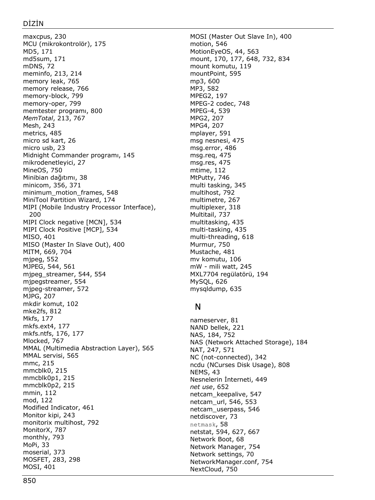maxcpus, 230 MCU (mikrokontrolör), 175 MD5, 171 md5sum, 171 mDNS, 72 meminfo, 213, 214 memory leak, 765 memory release, 766 memory-block, 799 memory-oper, 799 memtester programı, 800 *MemTotal*, 213, 767 Mesh, 243 metrics, 485 micro sd kart, 26 micro usb, 23 Midnight Commander programı, 145 mikrodenetleyici, 27 MineOS, 750 Minibian dağıtımı, 38 minicom, 356, 371 minimum\_motion\_frames, 548 MiniTool Partition Wizard, 174 MIPI (Mobile Industry Processor Interface), 200 MIPI Clock negative [MCN], 534 MIPI Clock Positive [MCP], 534 MISO, 401 MISO (Master In Slave Out), 400 MITM, 669, 704 mjpeg, 552 MJPEG, 544, 561 mjpeg\_streamer, 544, 554 mjpegstreamer, 554 mjpeg-streamer, 572 MJPG, 207 mkdir komut, 102 mke2fs, 812 Mkfs, 177 mkfs.ext4, 177 mkfs.ntfs, 176, 177 Mlocked, 767 MMAL (Multimedia Abstraction Layer), 565 MMAL servisi, 565 mmc, 215 mmcblk0, 215 mmcblk0p1, 215 mmcblk0p2, 215 mmin, 112 mod, 122 Modified Indicator, 461 Monitor kipi, 243 monitorix multihost, 792 MonitorX, 787 monthly, 793 MoPi, 33 moserial, 373 MOSFET, 283, 298 MOSI, 401

MOSI (Master Out Slave In), 400 motion, 546 MotionEyeOS, 44, 563 mount, 170, 177, 648, 732, 834 mount komutu, 119 mountPoint, 595 mp3, 600 MP3, 582 MPEG2, 197 MPEG-2 codec, 748 MPEG-4, 539 MPG2, 207 MPG4, 207 mplayer, 591 msg nesnesi, 475 msg.error, 486 msg.req, 475 msg.res, 475 mtime, 112 MtPutty, 746 multi tasking, 345 multihost, 792 multimetre, 267 multiplexer, 318 Multitail, 737 multitasking, 435 multi-tasking, 435 multi-threading, 618 Murmur, 750 Mustache, 481 mv komutu, 106 mW - mili watt, 245 MXL7704 regülatörü, 194 MySQL, 626 mysqldump, 635

## N

nameserver, 81 NAND bellek, 221 NAS, 184, 752 NAS (Network Attached Storage), 184 NAT, 247, 571 NC (not-connected), 342 ncdu (NCurses Disk Usage), 808 NEMS, 43 Nesnelerin İnterneti, 449 *net use*, 652 netcam\_keepalive, 547 netcam\_url, 546, 553 netcam\_userpass, 546 netdiscover, 73 netmask, 58 netstat, 594, 627, 667 Network Boot, 68 Network Manager, 754 Network settings, 70 NetworkManager.conf, 754 NextCloud, 750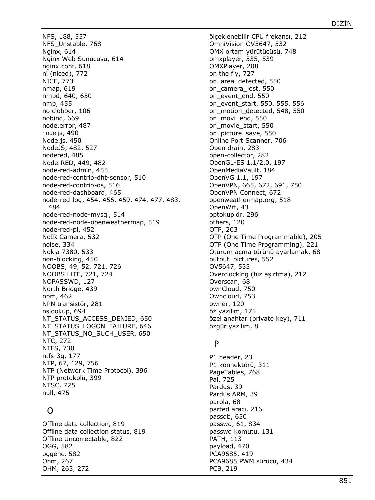NFS, 188, 557 NFS\_Unstable, 768 Nginx, 614 Nginx Web Sunucusu, 614 nginx.conf, 618 ni (niced), 772 NICE, 773 nmap, 619 nmbd, 640, 650 nmp, 455 no clobber, 106 nobind, 669 node.error, 487 node.js, 490 Node.js, 450 NodeJS, 482, 527 nodered, 485 Node-RED, 449, 482 node-red-admin, 455 node-red-contrib-dht-sensor, 510 node-red-contrib-os, 516 node-red-dashboard, 465 node-red-log, 454, 456, 459, 474, 477, 483, 484 node-red-node-mysql, 514 node-red-node-openweathermap, 519 node-red-pi, 452 NoIR Camera, 532 noise, 334 Nokia 7380, 533 non-blocking, 450 NOOBS, 49, 52, 721, 726 NOOBS LITE, 721, 724 NOPASSWD, 127 North Bridge, 439 npm, 462 NPN transistör, 281 nslookup, 694 NT\_STATUS\_ACCESS\_DENIED, 650 NT\_STATUS\_LOGON\_FAILURE, 646 NT\_STATUS\_NO\_SUCH\_USER, 650 NTC, 272 NTFS, 730 ntfs-3g, 177 NTP, 67, 129, 756 NTP (Network Time Protocol), 396 NTP protokolü, 399 NTSC, 725 null, 475

## O

Offline data collection, 819 Offline data collection status, 819 Offline Uncorrectable, 822 OGG, 582 oggenc, 582 Ohm, 267 OHM, 263, 272

ölçeklenebilir CPU frekansı, 212 OmniVision OV5647, 532 OMX ortam yürütücüsü, 748 omxplayer, 535, 539 OMXPlayer, 208 on the fly, 727 on\_area\_detected, 550 on\_camera\_lost, 550 on\_event\_end, 550 on\_event\_start, 550, 555, 556 on\_motion\_detected, 548, 550 on\_movi\_end, 550 on\_movie\_start, 550 on\_picture\_save, 550 Online Port Scanner, 706 Open drain, 283 open-collector, 282 OpenGL-ES 1.1/2.0, 197 OpenMediaVault, 184 OpenVG 1.1, 197 OpenVPN, 665, 672, 691, 750 OpenVPN Connect, 672 openweathermap.org, 518 OpenWrt, 43 optokuplör, 296 others, 120 OTP, 203 OTP (One Time Programmable), 205 OTP (One Time Programming), 221 Oturum açma türünü ayarlamak, 68 output\_pictures, 552 OV5647, 533 Overclocking (hız aşırtma), 212 Overscan, 68 ownCloud, 750 Owncloud, 753 owner, 120 öz yazılım, 175 özel anahtar (private key), 711 özgür yazılım, 8

### P

P1 header, 23 P1 konnektörü, 311 PageTables, 768 Pal, 725 Pardus, 39 Pardus ARM, 39 parola, 68 parted aracı, 216 passdb, 650 passwd, 61, 834 passwd komutu, 131 PATH, 113 payload, 470 PCA9685, 419 PCA9685 PWM sürücü, 434 PCB, 219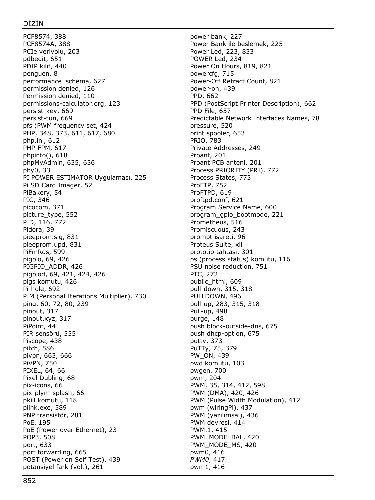PCF8574, 388 PCF8574A, 388 PCIe veriyolu, 203 pdbedit, 651 PDIP kılıf, 440 penguen, 8 performance\_schema, 627 permission denied, 126 Permission denied, 110 permissions-calculator.org, 123 persist-key, 669 persist-tun, 669 pfs (PWM frequency set, 424 PHP, 348, 373, 611, 617, 680 php.ini, 612 PHP-FPM, 617 phpinfo(), 618 phpMyAdmin, 635, 636 phy0, 33 PI POWER ESTIMATOR Uygulaması, 225 Pi SD Card Imager, 52 PiBakery, 54 PIC, 346 picocom, 371 picture\_type, 552 PID, 116, 772 Pidora, 39 pieeprom.sig, 831 pieeprom.upd, 831 PiFmRds, 599 pigpio, 69, 426 PIGPIO\_ADDR, 426 pigpiod, 69, 421, 424, 426 pigs komutu, 426 Pi-hole, 692 PIM (Personal Iterations Multiplier), 730 ping, 60, 72, 80, 239 pinout, 317 pinout.xyz, 317 PiPoint, 44 PIR sensörü, 555 Piscope, 438 pitch, 586 pivpn, 663, 666 PiVPN, 750 PIXEL, 64, 66 Pixel Dubling, 68 pix-icons, 66 pix-plym-splash, 66 pkill komutu, 118 plink.exe, 589 PNP transistör, 281 PoE, 195 PoE (Power over Ethernet), 23 POP3, 508 port, 633 port forwarding, 665 POST (Power on Self Test), 439 potansiyel fark (volt), 261

power bank, 227 Power Bank ile beslemek, 225 Power Led, 223, 833 POWER Led, 234 Power On Hours, 819, 821 powercfg, 715 Power-Off Retract Count, 821 power-on, 439 PPD, 662 PPD (PostScript Printer Description), 662 PPD File, 657 Predictable Network Interfaces Names, 78 pressure, 520 print spooler, 653 PRIO, 783 Private Addresses, 249 Proant, 201 Proant PCB anteni, 201 Process PRIORITY (PRI), 772 Process States, 773 ProFTP, 752 ProFTPD, 619 proftpd.conf, 621 Program Service Name, 600 program\_gpio\_bootmode, 221 Prometheus, 516 Promiscuous, 243 prompt işareti, 96 Proteus Suite, xii prototip tahtası, 301 ps (process status) komutu, 116 PSU noise reduction, 751 PTC, 272 public\_html, 609 pull-down, 315, 318 PULLDOWN, 496 pull-up, 283, 315, 318 Pull-up, 498 purge, 148 push block-outside-dns, 675 push dhcp-option, 675 putty, 373 PuTTy, 75, 379 PW\_ON, 439 pwd komutu, 103 pwgen, 700 pwm, 204 PWM, 35, 314, 412, 598 PWM (DMA), 420, 426 PWM (Pulse Width Modulation), 412 pwm (wiringPi), 437 PWM (yazılımsal), 436 PWM devresi, 414 PWM.1, 415 PWM\_MODE\_BAL, 420 PWM\_MODE\_MS, 420 pwm0, 416 *PWM0*, 417 pwm1, 416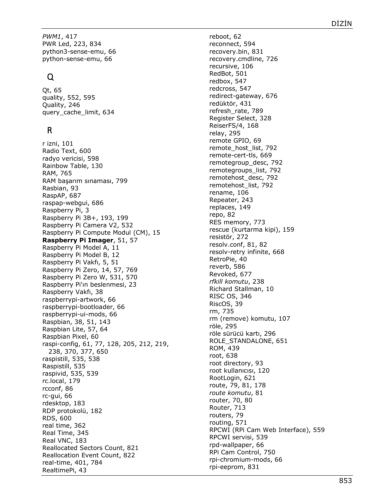*PWM1*, 417 PWR Led, 223, 834 python3-sense-emu, 66 python-sense-emu, 66

# Q

Qt, 65 quality, 552, 595 Quality, 246 query\_cache\_limit, 634

# R

r izni, 101 Radio Text, 600 radyo vericisi, 598 Rainbow Table, 130 RAM, 765 RAM başarım sınaması, 799 Rasbian, 93 RaspAP, 687 raspap-webgui, 686 Raspberry Pi, 3 Raspberry Pi 3B+, 193, 199 Raspberry Pi Camera V2, 532 Raspberry Pi Compute Modul (CM), 15 **Raspberry Pi Imager**, 51, 57 Raspberry Pi Model A, 11 Raspberry Pi Model B, 12 Raspberry Pi Vakfı, 5, 51 Raspberry Pi Zero, 14, 57, 769 Raspberry Pi Zero W, 531, 570 Raspberry Pi'ın beslenmesi, 23 Raspberry Vakfı, 38 raspberrypi-artwork, 66 raspberrypi-bootloader, 66 raspberrypi-ui-mods, 66 Raspbian, 38, 51, 143 Raspbian Lite, 57, 64 Raspbian Pixel, 60 raspi-config, 61, 77, 128, 205, 212, 219, 238, 370, 377, 650 raspistill, 535, 538 Raspistill, 535 raspivid, 535, 539 rc.local, 179 rcconf, 86 rc-gui, 66 rdesktop, 183 RDP protokolü, 182 RDS, 600 real time, 362 Real Time, 345 Real VNC, 183 Reallocated Sectors Count, 821 Reallocation Event Count, 822 real-time, 401, 784 RealtimePi, 43

reboot, 62 reconnect, 594 recovery.bin, 831 recovery.cmdline, 726 recursive, 106 RedBot, 501 redbox, 547 redcross, 547 redirect-gateway, 676 redüktör, 431 refresh\_rate, 789 Register Select, 328 ReiserFS/4, 168 relay, 295 remote GPIO, 69 remote host list, 792 remote-cert-tls, 669 remotegroup\_desc, 792 remotegroups\_list, 792 remotehost\_desc, 792 remotehost\_list, 792 rename, 106 Repeater, 243 replaces, 149 repo, 82 RES memory, 773 rescue (kurtarma kipi), 159 resistör, 272 resolv.conf, 81, 82 resolv-retry infinite, 668 RetroPie, 40 reverb, 586 Revoked, 677 *rfkill komutu*, 238 Richard Stallman, 10 RISC OS, 346 RiscOS, 39 rm, 735 rm (remove) komutu, 107 röle, 295 röle sürücü kartı, 296 ROLE\_STANDALONE, 651 ROM, 439 root, 638 root directory, 93 root kullanıcısı, 120 RootLogin, 621 route, 79, 81, 178 *route komutu*, 81 router, 70, 80 Router, 713 routers, 79 routing, 571 RPCWI (RPi Cam Web Interface), 559 RPCWI servisi, 539 rpd-wallpaper, 66 RPi Cam Control, 750 rpi-chromium-mods, 66 rpi-eeprom, 831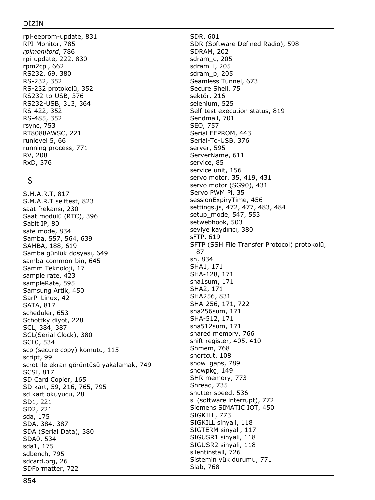rpi-eeprom-update, 831 RPI-Monitor, 785 *rpimonitord*, 786 rpi-update, 222, 830 rpm2cpi, 662 RS232, 69, 380 RS-232, 352 RS-232 protokolü, 352 RS232-to-USB, 376 RS232-USB, 313, 364 RS-422, 352 RS-485, 352 rsync, 753 RT8088AWSC, 221 runlevel 5, 66 running process, 771 RV, 208 RxD, 376

# S

S.M.A.R.T, 817 S.M.A.R.T selftest, 823 saat frekansı, 230 Saat modülü (RTC), 396 Sabit IP, 80 safe mode, 834 Samba, 557, 564, 639 SAMBA, 188, 619 Samba günlük dosyası, 649 samba-common-bin, 645 Samm Teknoloji, 17 sample rate, 423 sampleRate, 595 Samsung Artik, 450 SarPi Linux, 42 SATA, 817 scheduler, 653 Schottky diyot, 228 SCL, 384, 387 SCL(Serial Clock), 380 SCL0, 534 scp (secure copy) komutu, 115 script, 99 scrot ile ekran görüntüsü yakalamak, 749 SCSI, 817 SD Card Copier, 165 SD kart, 59, 216, 765, 795 sd kart okuyucu, 28 SD1, 221 SD2, 221 sda, 175 SDA, 384, 387 SDA (Serial Data), 380 SDA0, 534 sda1, 175 sdbench, 795 sdcard.org, 26 SDFormatter, 722

SDR, 601 SDR (Software Defined Radio), 598 SDRAM, 202 sdram\_c, 205 sdram\_i, 205 sdram\_p, 205 Seamless Tunnel, 673 Secure Shell, 75 sektör, 216 selenium, 525 Self-test execution status, 819 Sendmail, 701 SEO, 757 Serial EEPROM, 443 Serial-To-USB, 376 server, 595 ServerNam*e*, 611 service, 85 service unit, 156 servo motor, 35, 419, 431 servo motor (SG90), 431 Servo PWM Pi, 35 sessionExpiryTime, 456 settings.js, 472, 477, 483, 484 setup\_mode, 547, 553 setwebhook, 503 seviye kaydırıcı, 380 sFTP, 619 SFTP (SSH File Transfer Protocol) protokolü, 87 sh, 834 SHA1, 171 SHA-128, 171 sha1sum, 171 SHA2, 171 SHA256, 831 SHA-256, 171, 722 sha256sum, 171 SHA-512, 171 sha512sum, 171 shared memory, 766 shift register, 405, 410 Shmem, 768 shortcut, 108 show\_gaps, 789 showpkg, 149 SHR memory, 773 Shread, 735 shutter speed, 536 si (software interrupt), 772 Siemens SIMATIC IOT, 450 SIGKILL, 773 SIGKILL sinyali, 118 SIGTERM sinyali, 117 SIGUSR1 sinyali, 118 SIGUSR2 sinyali, 118 silentinstall, 726 Sistemin yük durumu, 771 Slab, 768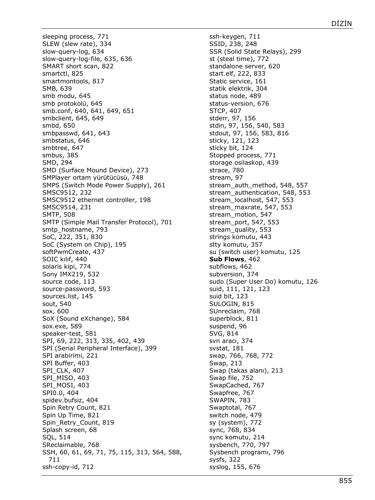sleeping process, 771 SLEW (slew rate), 334 slow-query-log, 634 slow-query-log-file, 635, 636 SMART short scan, 822 smartctl, 825 smartmontools, 817 SMB, 639 smb modu, 645 smb protokolü, 645 smb.conf, 640, 641, 649, 651 smbclient, 645, 649 smbd, 650 smbpasswd, 641, 643 smbstatus, 646 smbtree, 647 smbus, 385 SMD, 294 SMD (Surface Mound Device), 273 SMPlayer ortam yürütücüsü, 748 SMPS (Switch Mode Power Supply), 261 SMSC9512, 232 SMSC9512 ethernet controller, 198 SMSC9514, 231 SMTP, 508 SMTP (Simple Mail Transfer Protocol), 701 smtp\_hostname, 793 SoC, 222, 351, 830 SoC (System on Chip), 195 softPwmCreate, 437 SOIC kılıf, 440 solaris kipi, 774 Sony IMX219, 532 source code, 113 source-password, 593 sources.list, 145 sout, 540 sox, 600 SoX (Sound eXchange), 584 sox.exe, 589 speaker-test, 581 SPI, 69, 222, 313, 335, 402, 439 SPI (Serial Peripheral Interface), 399 SPI arabirimi, 221 SPI Buffer, 403 SPI CLK, 407 SPI\_MISO, 403 SPI\_MOSI, 403 SPI0.0, 404 spidev.bufsiz, 404 Spin Retry Count, 821 Spin Up Time, 821 Spin\_Retry\_Count, 819 Splash screen, 68 SQL, 514 SReclaimable, 768 SSH, 60, 61, 69, 71, 75, 115, 313, 564, 588, 711 ssh-copy-id, 712

ssh-keygen, 711 SSID, 238, 248 SSR (Solid State Relays), 299 st (steal time), 772 standalone server, 620 start.elf, 222, 833 Static service, 161 statik elektrik, 304 status node, 489 status-version, 676 STCP, 407 stderr, 97, 156 stdin, 97, 156, 540, 583 stdout, 97, 156, 583, 816 sticky, 121, 123 sticky bit, 124 Stopped process, 771 storage osilaskop, 439 strace, 780 stream, 97 stream\_auth\_method, 548, 557 stream\_authentication, 548, 553 stream\_localhost, 547, 553 stream\_maxrate, 547, 553 stream\_motion, 547 stream\_port, 547, 553 stream\_quality, 553 strings komutu, 443 stty komutu, 357 su (switch user) komutu, 125 **Sub Flows**, 462 subflows, 462 subversion, 374 sudo (Super User Do) komutu, 126 suid, 111, 121, 123 suid bit, 123 SULOGIN, 815 SUnreclaim, 768 superblock, 811 suspend, 96 SVG, 814 svn aracı, 374 svstat, 181 swap, 766, 768, 772 Swap, 213 Swap (takas alanı), 213 Swap file, 752 SwapCached, 767 Swapfree, 767 SWAPIN, 783 Swaptotal, 767 switch node, 479 sy (system), 772 sync, 768, 834 sync komutu, 214 sysbench, 770, 797 Sysbench programı, 796 sysfs, 322 syslog, 155, 676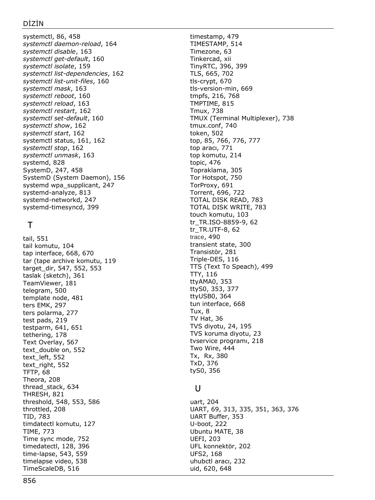#### DİZİN

systemctl, 86, 458 *systemctl daemon -reload*, 164 *systemctl disable*, 163 *systemctl get -default*, 160 *systemctl isolate*, 159 *systemctl list -dependencies*, 162 *systemctl list -unit -files*, 160 *systemctl mask*, 163 *systemctl reboot*, 160 *systemctl reload*, 163 *systemctl restart*, 162 *systemctl set -default*, 160 *systemctl show*, 162 *systemctl start*, 162 systemctl status, 161, 162 *systemctl stop*, 162 *systemctl unmask*, 163 systemd, 828 SystemD, 247, 458 SystemD (System Daemon), 156 systemd wpa\_supplicant, 247 systemd -analyze, 813 systemd -networkd, 247 systemd -timesyncd, 399

# $\top$

tail, 551 tail komutu, 104 tap interface, 668, 670 tar (tape archive komutu, 119 target\_dir, 547, 552, 553 taslak (sketch), 361 TeamViewer, 181 telegram, 500 template node, 481 ters EMK, 297 ters polarma, 277 test pads, 219 testparm, 641, 651 tethering, 178 Text Overlay, 567 text\_double on, 552 text\_left, 552 text\_right, 552 TFTP, 68 Theora, 208 thread\_stack, 634 THRESH, 821 threshold, 548, 553, 586 throttled, 208 TID, 783 timdatectl komutu, 127 TIME, 773 Time sync mode, 752 timedatectl, 128, 396 time -lapse, 543, 559 timelapse video, 538 TimeScaleDB, 516

timestamp, 479 TIMESTAMP, 514 Timezone, 63 Tinkercad, xii TinyRTC, 396, 399 TLS, 665, 702 tls -crypt, 670 tls -version -min, 669 tmpfs, 216, 768 TMPTIME, 815 Tmux, 738 TMUX (Terminal Multiplexer), 738 tmux.conf, 740 token, 502 top, 85, 766, 776, 777 top aracı, 771 top komutu, 214 topic, 476 Topraklama, 305 Tor Hotspot, 750 TorProxy, 691 Torrent, 696, 722 TOTAL DISK READ, 783 TOTAL DISK WRITE, 783 touch komutu, 103 tr\_TR.ISO -8859 -9, 62 tr\_TR.UTF -8, 62 trace, 490 transient state, 300 Transistör, 281 Triple -DES, 116 TTS (Text To Speach), 499 TTY, 116 ttyAMA0, 353 ttyS0, 353, 377 ttyUSB0, 364 tun interface, 668 Tux, 8 TV Hat, 36 TVS diyotu, 24, 195 TVS koruma diyotu, 23 tvservice programı, 218 Two Wire, 444 Tx, Rx, 380 TxD, 376 tyS0, 35 6

### U

uart, 204 UART, 69, 313, 335, 351, 363, 376 UART Buffer, 353 U-boot, 222 Ubuntu MATE, 38 UEFI, 203 UFL konnektör, 202 UFS2, 168 uhubctl aracı, 232 uid, 620, 648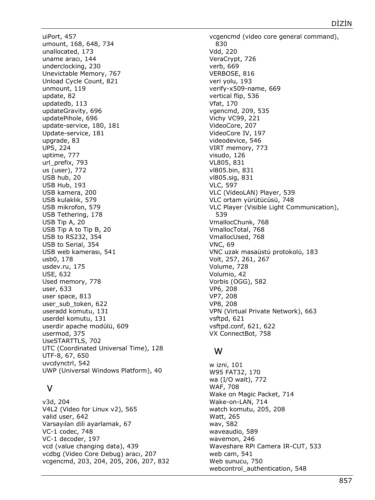uiPort, 457 umount, 168, 648, 734 unallocated, 173 uname aracı, 144 underclocking, 230 Unevictable Memory, 767 Unload Cycle Count, 821 unmount, 119 update, 82 updatedb, 113 updateGravity, 696 updatePihole, 696 update-service, 180, 181 Update-service, 181 upgrade, 83 UPS, 224 uptime, 777 url\_prefix, 793 us (user), 772 USB hub, 20 USB Hub, 193 USB kamera, 200 USB kulaklık, 579 USB mikrofon, 579 USB Tethering, 178 USB Tip A, 20 USB Tip A to Tip B, 20 USB to RS232, 354 USB to Serial, 354 USB web kamerası, 541 usb0, 178 usdev.ru, 175 USE, 632 Used memory, 778 user, 633 user space, 813 user\_sub\_token, 622 useradd komutu, 131 userdel komutu, 131 userdir apache modülü, 609 usermod, 375 UseSTARTTLS, 702 UTC (Coordinated Universal Time), 128 UTF-8, 67, 650 uvcdynctrl, 542 UWP (Universal Windows Platform), 40

## V

v3d, 204 V4L2 (Video for Linux v2), 565 valid user, 642 Varsayılan dili ayarlamak, 67 VC-1 codec, 748 VC-1 decoder, 197 vcd (value changing data), 439 vcdbg (Video Core Debug) aracı, 207 vcgencmd, 203, 204, 205, 206, 207, 832 vcgencmd (video core general command), 830 Vdd, 220 VeraCrypt, 726 verb, 669 VERBOSE, 816 veri yolu, 193 verify-x509-name, 669 vertical flip, 536 Vfat, 170 vgencmd, 209, 535 Vichy VC99, 221 VideoCore, 207 VideoCore IV, 197 videodevice, 546 VIRT memory, 773 visudo, 126 VL805, 831 vl805.bin, 831 vl805.sig, 831 VLC, 597 VLC (VideoLAN) Player, 539 VLC ortam yürütücüsü, 748 VLC Player (Visible Light Communication), 539 VmallocChunk, 768 VmallocTotal, 768 VmallocUsed, 768 VNC, 69 VNC uzak masaüstü protokolü, 183 Volt, 257, 261, 267 Volume, 728 Volumio, 42 Vorbis (OGG), 582 VP6, 208 VP7, 208 VP8, 208 VPN (Virtual Private Network), 663 vsftpd, 621 vsftpd.conf, 621, 622 VX ConnectBot, 758

## W

w izni, 101 W95 FAT32, 170 wa (I/O wait), 772 WAF, 708 Wake on Magic Packet, 714 Wake-on-LAN, 714 watch komutu, 205, 208 Watt, 265 wav, 582 waveaudio, 589 wavemon, 246 Waveshare RPi Camera IR-CUT, 533 web cam, 541 Web sunucu, 750 webcontrol\_authentication, 548